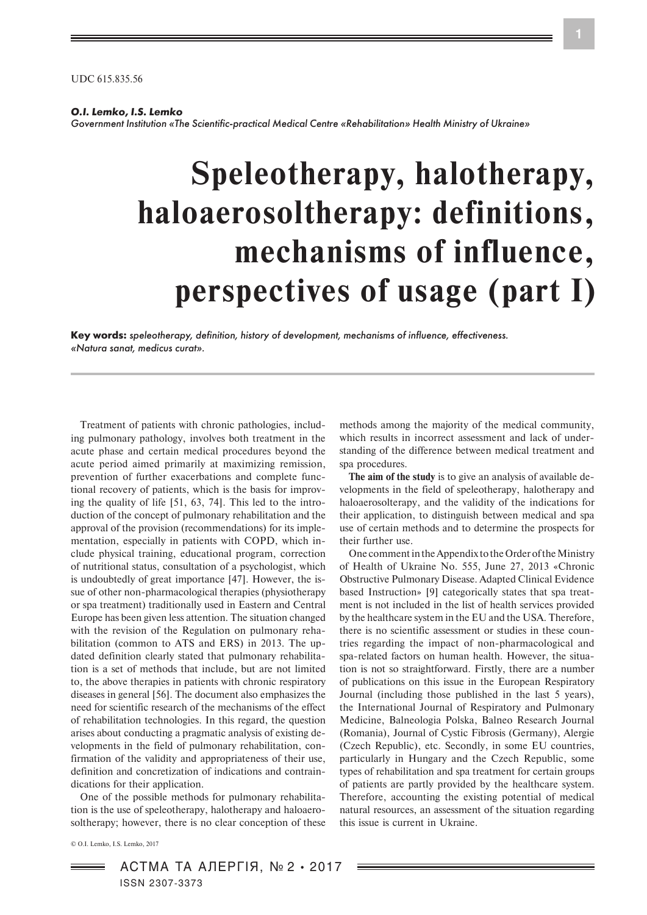UDC 615.835.56

## *O.I. Lemko, I.S. Lemko*

*Government Institution «The Scientific-practical Medical Centre «Rehabilitation» Health Ministry of Ukraine»*

# **Speleotherapy, halotherapy, haloaerosoltherapy: definitions, mechanisms of influence, perspectives of usage (part І)**

**Key words:** *speleotherapy, definition, history of development, mechanisms of influence, effectiveness. «Natura sanat, medicus curat».*

Treatment of patients with chronic pathologies, including pulmonary pathology, involves both treatment in the acute phase and certain medical procedures beyond the acute period aimed primarily at maximizing remission, prevention of further exacerbations and complete functional recovery of patients, which is the basis for improving the quality of life [51, 63, 74]. This led to the introduction of the concept of pulmonary rehabilitation and the approval of the provision (recommendations) for its implementation, especially in patients with COPD, which include physical training, educational program, correction of nutritional status, consultation of a psychologist, which is undoubtedly of great importance [47]. However, the issue of other non-pharmacological therapies (physiotherapy or spa treatment) traditionally used in Eastern and Central Europe has been given less attention. The situation changed with the revision of the Regulation on pulmonary rehabilitation (common to ATS and ERS) in 2013. The updated definition clearly stated that pulmonary rehabilitation is a set of methods that include, but are not limited to, the above therapies in patients with chronic respiratory diseases in general [56]. The document also emphasizes the need for scientific research of the mechanisms of the effect of rehabilitation technologies. In this regard, the question arises about conducting a pragmatic analysis of existing developments in the field of pulmonary rehabilitation, confirmation of the validity and appropriateness of their use, definition and concretization of indications and contraindications for their application.

One of the possible methods for pulmonary rehabilitation is the use of speleotherapy, halotherapy and haloaerosoltherapy; however, there is no clear conception of these

© O.I. Lemko, I.S. Lemko, 2017

АСТМА ТА АЛЕРГІЯ, № 2 • 2017 ISSN 2307-3373

methods among the majority of the medical community, which results in incorrect assessment and lack of understanding of the difference between medical treatment and spa procedures.

**The aim of the study** is to give an analysis of available developments in the field of speleotherapy, halotherapy and haloaerosolterapy, and the validity of the indications for their application, to distinguish between medical and spa use of certain methods and to determine the prospects for their further use.

One comment in the Appendix to the Order of the Ministry of Health of Ukraine No. 555, June 27, 2013 «Chronic Obstructive Pulmonary Disease. Adapted Clinical Evidence based Instruction» [9] categorically states that spa treatment is not included in the list of health services provided by the healthcare system in the EU and the USA. Therefore, there is no scientific assessment or studies in these countries regarding the impact of non-pharmacological and spa-related factors on human health. However, the situation is not so straightforward. Firstly, there are a number of publications on this issue in the European Respiratory Journal (including those published in the last 5 years), the International Journal of Respiratory and Pulmonary Medicine, Balneologia Polska, Balneo Research Journal (Romania), Journal оf Cystic Fibrosis (Germany), Alergie (Czech Republic), etc. Secondly, in some EU countries, particularly in Hungary and the Czech Republic, some types of rehabilitation and spa treatment for certain groups of patients are partly provided by the healthcare system. Therefore, accounting the existing potential of medical natural resources, an assessment of the situation regarding this issue is current in Ukraine.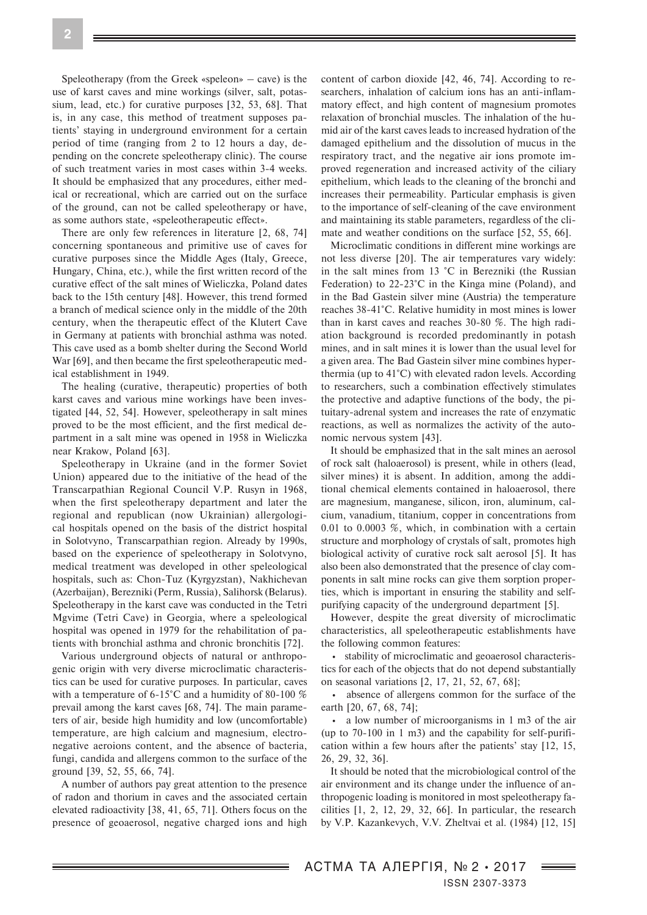Speleotherapy (from the Greek «speleon» – cave) is the use of karst caves and mine workings (silver, salt, potassium, lead, etc.) for curative purposes [32, 53, 68]. That is, in any case, this method of treatment supposes patients' staying in underground environment for a certain period of time (ranging from 2 to 12 hours a day, depending on the concrete speleotherapy clinic). The course of such treatment varies in most cases within 3-4 weeks. It should be emphasized that any procedures, either medical or recreational, which are carried out on the surface of the ground, can not be called speleotherapy or have, as some authors state, «speleotherapeutic effect».

There are only few references in literature [2, 68, 74] concerning spontaneous and primitive use of caves for curative purposes since the Middle Ages (Italy, Greece, Hungary, China, etc.), while the first written record of the curative effect of the salt mines of Wieliczka, Poland dates back to the 15th century [48]. However, this trend formed a branch of medical science only in the middle of the 20th century, when the therapeutic effect of the Klutert Cave in Germany at patients with bronchial asthma was noted. This cave used as a bomb shelter during the Second World War [69], and then became the first speleotherapeutic medical establishment in 1949.

The healing (curative, therapeutic) properties of both karst caves and various mine workings have been investigated [44, 52, 54]. However, speleotherapy in salt mines proved to be the most efficient, and the first medical department in a salt mine was opened in 1958 in Wieliczka near Krakow, Poland [63].

Speleotherapy in Ukraine (and in the former Soviet Union) appeared due to the initiative of the head of the Transcarpathian Regional Council V.P. Rusyn in 1968, when the first speleotherapy department and later the regional and republican (now Ukrainian) allergological hospitals opened on the basis of the district hospital in Solotvyno, Transcarpathian region. Already by 1990s, based on the experience of speleotherapy in Solotvyno, medical treatment was developed in other speleological hospitals, such as: Chon-Tuz (Kyrgyzstan), Nakhichevan (Azerbaijan), Berezniki (Perm, Russia), Salihorsk (Belarus). Speleotherapy in the karst cave was conducted in the Tetri Mgvime (Tetri Cave) in Georgia, where a speleological hospital was opened in 1979 for the rehabilitation of patients with bronchial asthma and chronic bronchitis [72].

Various underground objects of natural or anthropogenic origin with very diverse microclimatic characteristics can be used for curative purposes. In particular, caves with a temperature of 6-15°C and a humidity of 80-100 % prevail among the karst caves [68, 74]. The main parameters of air, beside high humidity and low (uncomfortable) temperature, are high calcium and magnesium, electronegative aeroions content, and the absence of bacteria, fungi, candida and allergens common to the surface of the ground [39, 52, 55, 66, 74].

A number of authors pay great attention to the presence of radon and thorium in caves and the associated certain elevated radioactivity [38, 41, 65, 71]. Others focus on the presence of geoaerosol, negative charged ions and high

content of carbon dioxide [42, 46, 74]. According to researchers, inhalation of calcium ions has an anti-inflammatory effect, and high content of magnesium promotes relaxation of bronchial muscles. The inhalation of the humid air of the karst caves leads to increased hydration of the damaged epithelium and the dissolution of mucus in the respiratory tract, and the negative air ions promote improved regeneration and increased activity of the ciliary epithelium, which leads to the cleaning of the bronchi and increases their permeability. Particular emphasis is given to the importance of self-cleaning of the cave environment and maintaining its stable parameters, regardless of the climate and weather conditions on the surface [52, 55, 66].

Microclimatic conditions in different mine workings are not less diverse [20]. The air temperatures vary widely: in the salt mines from 13 °C in Berezniki (the Russian Federation) to 22-23°C in the Kinga mine (Poland), and in the Bad Gastein silver mine (Austria) the temperature reaches 38-41°C. Relative humidity in most mines is lower than in karst caves and reaches 30-80 %. The high radiation background is recorded predominantly in potash mines, and in salt mines it is lower than the usual level for a given area. The Bad Gastein silver mine combines hyperthermia (up to 41°C) with elevated radon levels. According to researchers, such a combination effectively stimulates the protective and adaptive functions of the body, the pituitary-adrenal system and increases the rate of enzymatic reactions, as well as normalizes the activity of the autonomic nervous system [43].

It should be emphasized that in the salt mines an aerosol of rock salt (haloaerosol) is present, while in others (lead, silver mines) it is absent. In addition, among the additional chemical elements contained in haloaerosol, there are magnesium, manganese, silicon, iron, aluminum, calcium, vanadium, titanium, copper in concentrations from 0.01 to 0.0003 %, which, in combination with a certain structure and morphology of crystals of salt, promotes high biological activity of curative rock salt aerosol [5]. It has also been also demonstrated that the presence of clay components in salt mine rocks can give them sorption properties, which is important in ensuring the stability and selfpurifying capacity of the underground department [5].

However, despite the great diversity of microclimatic characteristics, all speleotherapeutic establishments have the following common features:

• stability of microclimatic and geoaerosol characteristics for each of the objects that do not depend substantially on seasonal variations [2, 17, 21, 52, 67, 68];

• absence of allergens common for the surface of the earth [20, 67, 68, 74];

• a low number of microorganisms in 1 m3 of the air (up to 70-100 in 1 m3) and the capability for self-purification within a few hours after the patients' stay [12, 15, 26, 29, 32, 36].

It should be noted that the microbiological control of the air environment and its change under the influence of anthropogenic loading is monitored in most speleotherapy facilities [1, 2, 12, 29, 32, 66]. In particular, the research by V.P. Kazankevych, V.V. Zheltvai et al. (1984) [12, 15]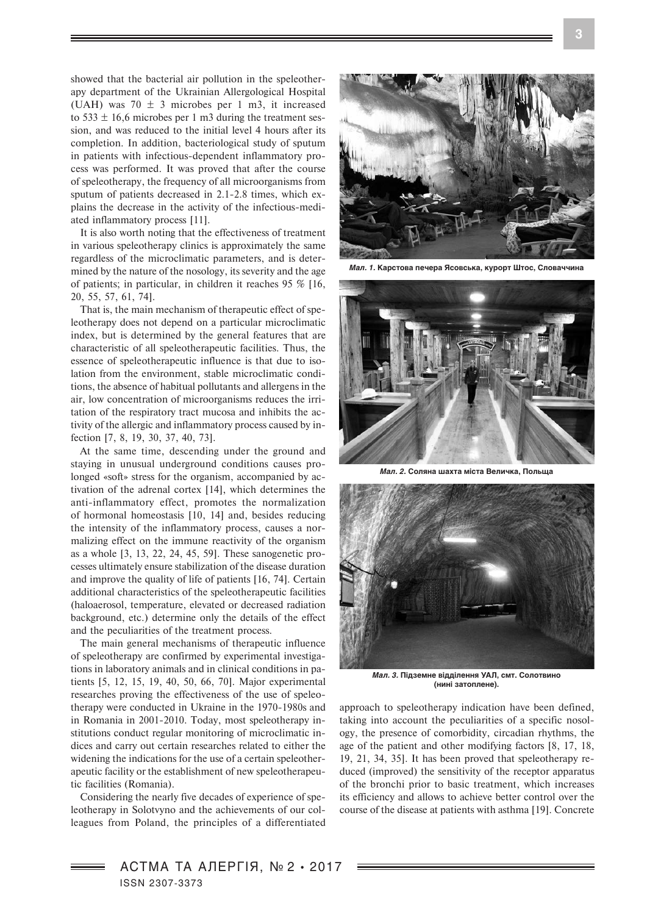showed that the bacterial air pollution in the speleotherapy department of the Ukrainian Allergological Hospital (UAH) was  $70 \pm 3$  microbes per 1 m3, it increased to 533  $\pm$  16,6 microbes per 1 m3 during the treatment session, and was reduced to the initial level 4 hours after its completion. In addition, bacteriological study of sputum in patients with infectious-dependent inflammatory process was performed. It was proved that after the course of speleotherapy, the frequency of all microorganisms from sputum of patients decreased in 2.1-2.8 times, which explains the decrease in the activity of the infectious-mediated inflammatory process [11].

It is also worth noting that the effectiveness of treatment in various speleotherapy clinics is approximately the same regardless of the microclimatic parameters, and is determined by the nature of the nosology, its severity and the age of patients; in particular, in children it reaches 95 % [16, 20, 55, 57, 61, 74].

That is, the main mechanism of therapeutic effect of speleotherapy does not depend on a particular microclimatic index, but is determined by the general features that are characteristic of all speleotherapeutic facilities. Thus, the essence of speleotherapeutic influence is that due to isolation from the environment, stable microclimatic conditions, the absence of habitual pollutants and allergens in the air, low concentration of microorganisms reduces the irritation of the respiratory tract mucosa and inhibits the activity of the allergic and inflammatory process caused by infection [7, 8, 19, 30, 37, 40, 73].

At the same time, descending under the ground and staying in unusual underground conditions causes prolonged «soft» stress for the organism, accompanied by activation of the adrenal cortex [14], which determines the anti-inflammatory effect, promotes the normalization of hormonal homeostasis [10, 14] and, besides reducing the intensity of the inflammatory process, causes a normalizing effect on the immune reactivity of the organism as a whole [3, 13, 22, 24, 45, 59]. These sanogenetic processes ultimately ensure stabilization of the disease duration and improve the quality of life of patients [16, 74]. Certain additional characteristics of the speleotherapeutic facilities (haloaerosol, temperature, elevated or decreased radiation background, etc.) determine only the details of the effect and the peculiarities of the treatment process.

The main general mechanisms of therapeutic influence of speleotherapy are confirmed by experimental investigations in laboratory animals and in clinical conditions in patients [5, 12, 15, 19, 40, 50, 66, 70]. Major experimental researches proving the effectiveness of the use of speleotherapy were conducted in Ukraine in the 1970-1980s and in Romania in 2001-2010. Today, most speleotherapy institutions conduct regular monitoring of microclimatic indices and carry out certain researches related to either the widening the indications for the use of a certain speleotherapeutic facility or the establishment of new speleotherapeutic facilities (Romania).

Considering the nearly five decades of experience of speleotherapy in Solotvyno and the achievements of our colleagues from Poland, the principles of a differentiated



*Мал. 1.* **Карстова печера Ясовська, курорт Штос, Словаччина**



*Мал. 2.* **Соляна шахта міста Величка, Польща**



*Мал. 3.* **Підземне відділення УАЛ, смт. Солотвино (нині затоплене).**

approach to speleotherapy indication have been defined, taking into account the peculiarities of a specific nosology, the presence of comorbidity, circadian rhythms, the age of the patient and other modifying factors [8, 17, 18, 19, 21, 34, 35]. It has been proved that speleotherapy reduced (improved) the sensitivity of the receptor apparatus of the bronchi prior to basic treatment, which increases its efficiency and allows to achieve better control over the course of the disease at patients with asthma [19]. Concrete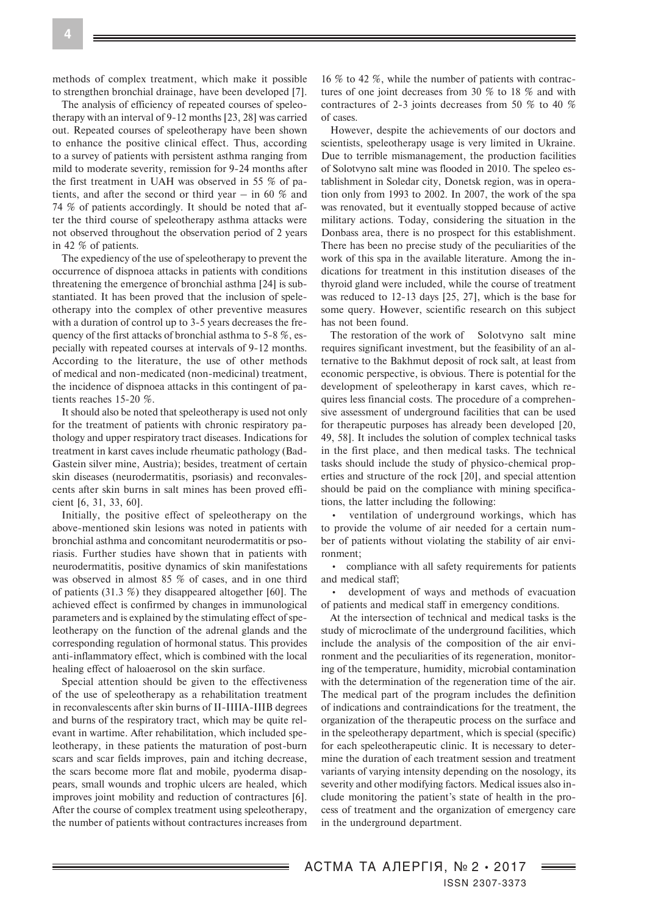methods of complex treatment, which make it possible to strengthen bronchial drainage, have been developed [7].

The analysis of efficiency of repeated courses of speleotherapy with an interval of 9-12 months [23, 28] was carried out. Repeated courses of speleotherapy have been shown to enhance the positive clinical effect. Thus, according to a survey of patients with persistent asthma ranging from mild to moderate severity, remission for 9-24 months after the first treatment in UAH was observed in 55 % of patients, and after the second or third year – in 60 % and 74 % of patients accordingly. It should be noted that after the third course of speleotherapy asthma attacks were not observed throughout the observation period of 2 years in 42 % of patients.

The expediency of the use of speleotherapy to prevent the occurrence of dispnoea attacks in patients with conditions threatening the emergence of bronchial asthma [24] is substantiated. It has been proved that the inclusion of speleotherapy into the complex of other preventive measures with a duration of control up to 3-5 years decreases the frequency of the first attacks of bronchial asthma to 5-8 %, especially with repeated courses at intervals of 9-12 months. According to the literature, the use of other methods of medical and non-medicated (non-medicinal) treatment, the incidence of dispnoea attacks in this contingent of patients reaches 15-20 %.

It should also be noted that speleotherapy is used not only for the treatment of patients with chronic respiratory pathology and upper respiratory tract diseases. Indications for treatment in karst caves include rheumatic pathology (Bad-Gastein silver mine, Austria); besides, treatment of certain skin diseases (neurodermatitis, psoriasis) and reconvalescents after skin burns in salt mines has been proved efficient [6, 31, 33, 60].

Initially, the positive effect of speleotherapy on the above-mentioned skin lesions was noted in patients with bronchial asthma and concomitant neurodermatitis or psoriasis. Further studies have shown that in patients with neurodermatitis, positive dynamics of skin manifestations was observed in almost 85 % of cases, and in one third of patients (31.3 %) they disappeared altogether [60]. The achieved effect is confirmed by changes in immunological parameters and is explained by the stimulating effect of speleotherapy on the function of the adrenal glands and the corresponding regulation of hormonal status. This provides anti-inflammatory effect, which is combined with the local healing effect of haloaerosol on the skin surface.

Special attention should be given to the effectiveness of the use of speleotherapy as a rehabilitation treatment in reconvalescents after skin burns of II-IIIIA-ІІІB degrees and burns of the respiratory tract, which may be quite relevant in wartime. After rehabilitation, which included speleotherapy, in these patients the maturation of post-burn scars and scar fields improves, pain and itching decrease, the scars become more flat and mobile, pyoderma disappears, small wounds and trophic ulcers are healed, which improves joint mobility and reduction of contractures [6]. After the course of complex treatment using speleotherapy, the number of patients without contractures increases from

16 % to 42 %, while the number of patients with contractures of one joint decreases from 30 % to 18 % and with contractures of 2-3 joints decreases from 50 % to 40 % of cases.

However, despite the achievements of our doctors and scientists, speleotherapy usage is very limited in Ukraine. Due to terrible mismanagement, the production facilities of Solotvyno salt mine was flooded in 2010. The speleo establishment in Soledar city, Donetsk region, was in operation only from 1993 to 2002. In 2007, the work of the spa was renovated, but it eventually stopped because of active military actions. Today, considering the situation in the Donbass area, there is no prospect for this establishment. There has been no precise study of the peculiarities of the work of this spa in the available literature. Among the indications for treatment in this institution diseases of the thyroid gland were included, while the course of treatment was reduced to 12-13 days [25, 27], which is the base for some query. However, scientific research on this subject has not been found.

The restoration of the work of Solotyno salt mine requires significant investment, but the feasibility of an alternative to the Bakhmut deposit of rock salt, at least from economic perspective, is obvious. There is potential for the development of speleotherapy in karst caves, which requires less financial costs. The procedure of a comprehensive assessment of underground facilities that can be used for therapeutic purposes has already been developed [20, 49, 58]. It includes the solution of complex technical tasks in the first place, and then medical tasks. The technical tasks should include the study of physico-chemical properties and structure of the rock [20], and special attention should be paid on the compliance with mining specifications, the latter including the following:

• ventilation of underground workings, which has to provide the volume of air needed for a certain number of patients without violating the stability of air environment;

• compliance with all safety requirements for patients and medical staff;

• development of ways and methods of evacuation of patients and medical staff in emergency conditions.

At the intersection of technical and medical tasks is the study of microclimate of the underground facilities, which include the analysis of the composition of the air environment and the peculiarities of its regeneration, monitoring of the temperature, humidity, microbial contamination with the determination of the regeneration time of the air. The medical part of the program includes the definition of indications and contraindications for the treatment, the organization of the therapeutic process on the surface and in the speleotherapy department, which is special (specific) for each speleotherapeutic clinic. It is necessary to determine the duration of each treatment session and treatment variants of varying intensity depending on the nosology, its severity and other modifying factors. Medical issues also include monitoring the patient's state of health in the process of treatment and the organization of emergency care in the underground department.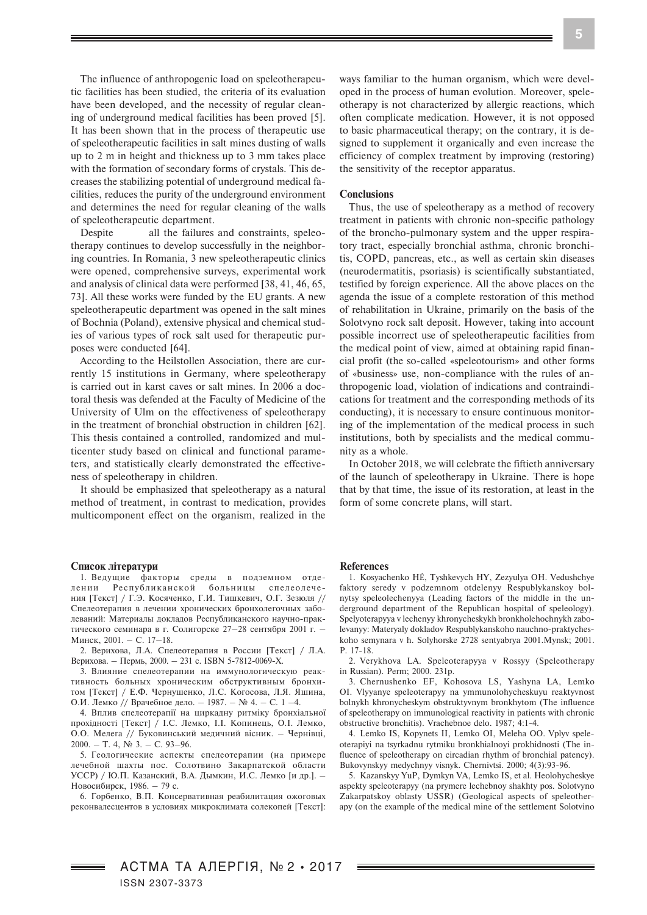The influence of anthropogenic load on speleotherapeutic facilities has been studied, the criteria of its evaluation have been developed, and the necessity of regular cleaning of underground medical facilities has been proved [5]. It has been shown that in the process of therapeutic use of speleotherapeutic facilities in salt mines dusting of walls up to 2 m in height and thickness up to 3 mm takes place with the formation of secondary forms of crystals. This decreases the stabilizing potential of underground medical facilities, reduces the purity of the underground environment and determines the need for regular cleaning of the walls of speleotherapeutic department.

Despite all the failures and constraints, speleotherapy continues to develop successfully in the neighboring countries. In Romania, 3 new speleotherapeutic clinics were opened, comprehensive surveys, experimental work and analysis of clinical data were performed [38, 41, 46, 65, 73]. All these works were funded by the EU grants. A new speleotherapeutic department was opened in the salt mines of Bochnia (Poland), extensive physical and chemical studies of various types of rock salt used for therapeutic purposes were conducted [64].

According to the Heilstollen Association, there are currently 15 institutions in Germany, where speleotherapy is carried out in karst caves or salt mines. In 2006 a doctoral thesis was defended at the Faculty of Medicine of the University of Ulm on the effectiveness of speleotherapy in the treatment of bronchial obstruction in children [62]. This thesis contained a controlled, randomized and multicenter study based on clinical and functional parameters, and statistically clearly demonstrated the effectiveness of speleotherapy in children.

It should be emphasized that speleotherapy as a natural method of treatment, in contrast to medication, provides multicomponent effect on the organism, realized in the

### **Список літератури**

1. Ведущие факторы среды в подземном отделении Республиканской больницы спелеолечения [Текст] / Г.Э. Косяченко, Г.И. Тишкевич, О.Г. Зезюля // Спелеотерапия в лечении хронических бронхолегочных заболеваний: Материалы докладов Республиканского научно-практического семинара в г. Солигорске 27–28 сентября 2001 г. – Минск, 2001. – С. 17–18.

2. Верихова, Л.А. Спелеотерапия в России [Текст] / Л.А. Верихова. – Пермь, 2000. – 231 с. ISBN 5-7812-0069-X.

3. Влияние спелеотерапии на иммунологическую реактивность больных хроническим обструктивным бронхитом [Текст] / Е.Ф. Чернушенко, Л.С. Когосова, Л.Я. Яшина, О.И. Лемко // Врачебное дело. – 1987. – № 4. – С. 1 –4.

4. Вплив спелеотерапії на циркадну ритміку бронхіальної прохідності [Текст] / І.С. Лемко, І.І. Копинець, О.І. Лемко, О.О. Мелега // Буковинський медичний вісник. – Чернівці, 2000. – Т. 4,  $N_2$  3. – С. 93–96.

5. Геологические аспекты спелеотерапии (на примере лечебной шахты пос. Солотвино Закарпатской области УССР) / Ю.П. Казанский, В.А. Дымкин, И.С. Лемко [и др.]. – Новосибирск, 1986. – 79 с.

6. Горбенко, В.П. Консервативная реабилитация ожоговых реконвалесцентов в условиях микроклимата солекопей [Текст]:

ways familiar to the human organism, which were developed in the process of human evolution. Moreover, speleotherapy is not characterized by allergic reactions, which often complicate medication. However, it is not opposed to basic pharmaceutical therapy; on the contrary, it is designed to supplement it organically and even increase the efficiency of complex treatment by improving (restoring) the sensitivity of the receptor apparatus.

## **Conclusions**

Thus, the use of speleotherapy as a method of recovery treatment in patients with chronic non-specific pathology of the broncho-pulmonary system and the upper respiratory tract, especially bronchial asthma, chronic bronchitis, COPD, pancreas, etc., as well as certain skin diseases (neurodermatitis, psoriasis) is scientifically substantiated, testified by foreign experience. All the above places on the agenda the issue of a complete restoration of this method of rehabilitation in Ukraine, primarily on the basis of the Solotvyno rock salt deposit. However, taking into account possible incorrect use of speleotherapeutic facilities from the medical point of view, aimed at obtaining rapid financial profit (the so-called «speleotourism» and other forms of «business» use, non-compliance with the rules of anthropogenic load, violation of indications and contraindications for treatment and the corresponding methods of its conducting), it is necessary to ensure continuous monitoring of the implementation of the medical process in such institutions, both by specialists and the medical community as a whole.

In October 2018, we will celebrate the fiftieth anniversary of the launch of speleotherapy in Ukraine. There is hope that by that time, the issue of its restoration, at least in the form of some concrete plans, will start.

#### **References**

1. Kosyachenko HÉ, Tyshkevych HY, Zezyulya OH. Vedushchye faktory seredy v podzemnom otdelenyy Respublykanskoy bolnytsy speleolechenyya (Leading factors of the middle in the underground department of the Republican hospital of speleology). Spelyoterapyya v lechenyy khronycheskykh bronkholehochnykh zabolevanyy: Materyaly dokladov Respublykanskoho nauchno-praktycheskoho semynara v h. Solyhorske 2728 sentyabrya 2001.Mynsk; 2001. P. 17-18.

2. Verykhova LA. Speleoterapyya v Rossyy (Speleotherapy in Russian). Perm; 2000. 231p.

3. Chernushenko EF, Kohosova LS, Yashyna LA, Lemko OI. Vlyyanye speleoterapyy na ymmunolohycheskuyu reaktyvnost bolnykh khronycheskym obstruktyvnym bronkhytom (The influence of speleotherapy on immunological reactivity in patients with chronic obstructive bronchitis). Vrachebnoe delo. 1987; 4:1-4.

4. Lemko IS, Kopynets II, Lemko OI, Meleha OO. Vplyv speleoterapiyi na tsyrkadnu rytmiku bronkhialnoyi prokhidnosti (The influence of speleotherapy on circadian rhythm of bronchial patency). Bukovynskyy medychnyy visnyk. Chernivtsi. 2000; 4(3):93-96.

5. Kazanskyy YuP, Dymkyn VA, Lemko IS, et al. Heolohycheskye aspekty speleoterapyy (na prymere lechebnoy shakhty pos. Solotvyno Zakarpatskoy oblasty USSR) (Geological aspects of speleotherapy (on the example of the medical mine of the settlement Solotvino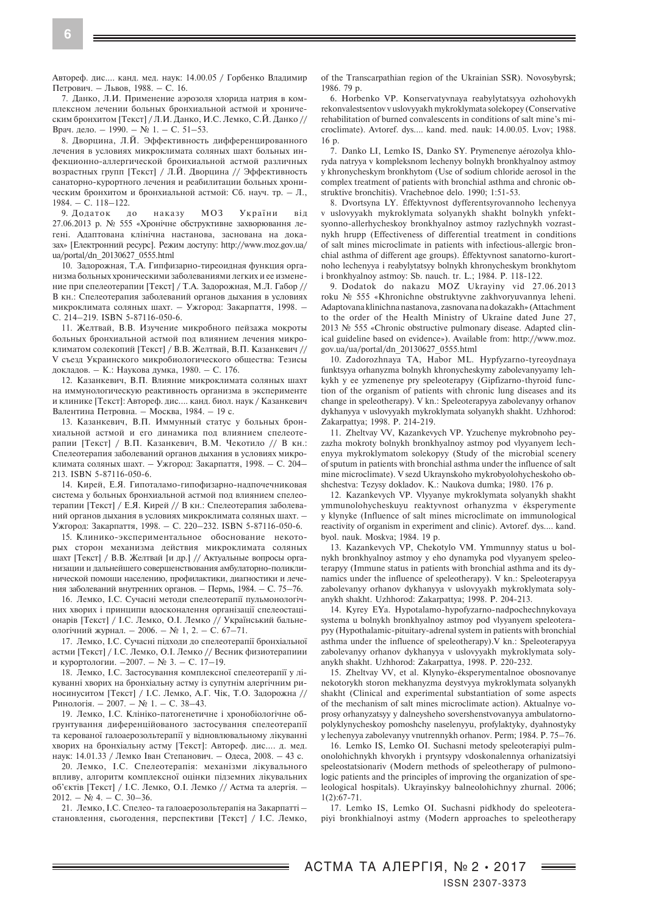Автореф. дис.... канд. мед. наук: 14.00.05 / Горбенко Владимир Петрович. – Львов, 1988. – С. 16.

7. Данко, Л.И. Применение аэрозоля хлорида натрия в комплексном лечении больных бронхиальной астмой и хроническим бронхитом [Текст] / Л.И. Данко, И.С. Лемко, С.Й. Данко // Врач. дело. – 1990. – № 1. – С. 51–53.

8. Дворцина, Л.Й. Эффективность дифференцированного лечения в условиях микроклимата соляных шахт больных инфекционно-аллергической бронхиальной астмой различных возрастных групп [Текст] / Л.Й. Дворцина // Эффективность санаторно-курортного лечения и реабилитации больных хроническим бронхитом и бронхиальной астмой: Сб. науч. тр. – Л., 1984. – С. 118–122.

9. Додаток до наказу МОЗ України від 27.06.2013 р. № 555 «Хронічне обструктивне захворювання легені. Адаптована клінічна настанова, заснована на доказах» [Електронний ресурс]. Режим доступу: http://www.moz.gov.ua/ ua/portal/dn\_20130627\_0555.html

10. Задорожная, Т.А. Гипфизарно-тиреоидная функция организма больных хроническими заболеваниями легких и ее изменение при спелеотерапии [Текст] / Т.А. Задорожная, М.Л. Габор // В кн.: Спелеотерапия заболеваний органов дыхания в условиях микроклимата соляных шахт. – Ужгород: Закарпаття, 1998. – С. 214–219. ISBN 5-87116-050-6.

11. Желтвай, В.В. Изучение микробного пейзажа мокроты больных бронхиальной астмой под влиянием лечения микроклиматом солекопий [Текст] / В.В. Желтвай, В.П. Казанкевич // V съезд Украинского микробиологического общества: Тезисы докладов. – К.: Наукова думка, 1980. – С. 176.

12. Казанкевич, В.П. Влияние микроклимата соляных шахт на иммунологическую реактивность организма в эксперименте и клинике [Текст]: Автореф. дис.... канд. биол. наук / Казанкевич Валентина Петровна. – Москва, 1984. – 19 с.

13. Казанкевич, В.П. Иммунный статус у больных бронхиальной астмой и его динамика под влиянием спелеотерапии [Текст] / В.П. Казанкевич, В.М. Чекотило // В кн.: Спелеотерапия заболеваний органов дыхания в условиях микроклимата соляных шахт. – Ужгород: Закарпаття, 1998. – С. 204– 213. ISBN 5-87116-050-6.

14. Кирей, Е.Я. Гипоталамо-гипофизарно-надпочечниковая система у больных бронхиальной астмой под влиянием спелеотерапии [Текст] / Е.Я. Кирей // В кн.: Спелеотерапия заболеваний органов дыхания в условиях микроклимата соляных шахт. – Ужгород: Закарпаття, 1998. – С. 220–232. ISBN 5-87116-050-6.

15. Клинико-экспериментальное обоснование некоторых сторон механизма действия микроклимата соляных шахт [Текст] / В.В. Желтвай [и др.] // Актуальные вопросы организации и дальнейшего совершенствования амбулаторно-поликлинической помощи населению, профилактики, диагностики и лечения заболеваний внутренних органов. – Пермь, 1984. – С. 75–76.

16. Лемко, І.С. Сучасні методи спелеотерапії пульмонологічних хворих і принципи вдосконалення організації спелеостаціонарів [Текст] / І.С. Лемко, О.І. Лемко // Український бальнеологічний журнал. – 2006. – № 1, 2. – С. 67–71.

17. Лемко, І.С. Сучасні підходи до спелеотерапії бронхіальної астми [Текст] / І.С. Лемко, О.І. Лемко // Весник физиотерапиии и курортологии. –2007. – № 3. – С. 17–19.

18. Лемко, І.С. Застосування комплексної спелеотерапії у лікуванні хворих на бронхіальну астму із супутнім алергічним риносинуситом [Текст] / І.С. Лемко, А.Г. Чік, Т.О. Задорожна // Ринологія. – 2007. – № 1. – С. 38–43.

19. Лемко, І.С. Клініко-патогенетичне і хронобіологічне обґрунтування диференційованого застосування спелеотерапії та керованої галоаерозольтерапії у відновлювальному лікуванні хворих на бронхіальну астму [Текст]: Автореф. дис.... д. мед. наук: 14.01.33 / Лемко Іван Степанович. – Одеса, 2008. – 43 с.

20. Лемко, І.С. Спелеотерапія: механізми лікувального впливу, алгоритм комплексної оцінки підземних лікувальних об'єктів [Текст] / І.С. Лемко, О.І. Лемко // Астма та алергія. –  $2012. - N<sub>2</sub> 4. - C. 30-36.$ 

21. Лемко, І.С. Спелео- та галоаерозольтерапія на Закарпатті – становлення, сьогодення, перспективи [Текст] / І.С. Лемко, of the Transcarpathian region of the Ukrainian SSR). Novosybyrsk; 1986. 79 p.

6. Horbenko VP. Konservatyvnaya reabylytatsyya ozhohovykh rekonvalestsentov v uslovyyakh mykroklymata solekopey (Conservative rehabilitation of burned convalescents in conditions of salt mine's microclimate). Avtoref. dys.... kand. med. nauk: 14.00.05. Lvov; 1988. 16 p.

7. Danko LI, Lemko IS, Danko SY. Prymenenye aérozolya khloryda natryya v kompleksnom lechenyy bolnykh bronkhyalnoy astmoy y khronycheskym bronkhytom (Use of sodium chloride aerosol in the complex treatment of patients with bronchial asthma and chronic obstruktive bronchitis). Vrachebnoe delo. 1990; 1:51-53.

8. Dvortsyna LY. Éffektyvnost dyfferentsyrovannoho lechenyya v uslovyyakh mykroklymata solyanykh shakht bolnykh ynfektsyonno-allerhycheskoy bronkhyalnoy astmoy razlychnykh vozrastnykh hrupp (Effectiveness of differential treatment in conditions of salt mines microclimate in patients with infectious-allergic bronchial asthma of different age groups). Éffektyvnost sanatorno-kurortnoho lechenyya i reabylytatsyy bolnykh khronycheskym bronkhytom i bronkhyalnoy astmoy: Sb. nauch. tr. L.; 1984. P. 118-122.

9. Dodatok do nakazu MOZ Ukrayiny vid 27.06.2013 roku № 555 «Khronichne obstruktyvne zakhvoryuvannya leheni. Adaptovana klinichna nastanova, zasnovana na dokazakh» (Attachment to the order of the Health Ministry of Ukraine dated June 27, 2013 № 555 «Chronic obstructive pulmonary disease. Adapted clinical guideline based on evidence»). Available from: http://www.moz. gov.ua/ua/portal/dn\_20130627\_0555.html

10. Zadorozhnaya TA, Habor ML. Hypfyzarno-tyreoydnaya funktsyya orhanyzma bolnykh khronycheskymy zabolevanyyamy lehkykh y ee yzmenenye pry speleoterapyy (Gipfizarno-thyroid function of the organism of patients with chronic lung diseases and its change in speleotherapy). V kn.: Speleoterapyya zabolevanyy orhanov dykhanyya v uslovyyakh mykroklymata solyanykh shakht. Uzhhorod: Zakarpattya; 1998. P. 214-219.

11. Zheltvay VV, Kazankevych VP. Yzuchenye mykrobnoho peyzazha mokroty bolnykh bronkhyalnoy astmoy pod vlyyanyem lechenyya mykroklymatom solekopyy (Study of the microbial scenery of sputum in patients with bronchial asthma under the influence of salt mine microclimate). V sezd Ukraynskoho mykrobyolohycheskoho obshchestva: Tezysy dokladov. K.: Naukova dumka; 1980. 176 p.

12. Kazankevych VP. Vlyyanye mykroklymata solyanykh shakht ymmunolohycheskuyu reaktyvnost orhanyzma v éksperymente y klynyke (Influence of salt mines microclimate on immunological reactivity of organism in experiment and clinic). Avtoref. dys.... kand. byol. nauk. Moskva; 1984. 19 p.

13. Kazankevych VP, Chekotylo VM. Ymmunnyy status u bolnykh bronkhyalnoy astmoy y eho dynamyka pod vlyyanyem speleoterapyy (Immune status in patients with bronchial asthma and its dynamics under the influence of speleotherapy). V kn.: Speleoterapyya zabolevanyy orhanov dykhanyya v uslovyyakh mykroklymata solyanykh shakht. Uzhhorod: Zakarpattya; 1998. P. 204-213.

14. Kyrey EYa. Hypotalamo-hypofyzarno-nadpochechnykovaya systema u bolnykh bronkhyalnoy astmoy pod vlyyanyem speleoterapyy (Hypothalamic-pituitary-adrenal system in patients with bronchial asthma under the influence of speleotherapy).V kn.: Speleoterapyya zabolevanyy orhanov dykhanyya v uslovyyakh mykroklymata solyanykh shakht. Uzhhorod: Zakarpattya, 1998. P. 220-232.

15. Zheltvay VV, et al. Klynyko-éksperymentalnoe obosnovanye nekotorykh storon mekhanyzma deystvyya mykroklymata solyanykh shakht (Clinical and experimental substantiation of some aspects of the mechanism of salt mines microclimate action). Aktualnye voprosy orhanyzatsyy y dalneysheho sovershenstvovanyya ambulatornopolyklynycheskoy pomoshchy naselenyyu, profylaktyky, dyahnostyky y lechenyya zabolevanyy vnutrennykh orhanov. Perm; 1984. P. 75–76.

16. Lemko IS, Lemko OI. Suchasni metody speleoterapiyi pulmonolohichnykh khvorykh i pryntsypy vdoskonalennya orhanizatsiyi speleostatsionariv (Modern methods of speleotherapy of pulmonologic patients and the principles of improving the organization of speleological hospitals). Ukrayinskyy balneolohichnyy zhurnal. 2006;  $1(2):67-71$ .

17. Lemko IS, Lemko OI. Suchasni pidkhody do speleoterapiyi bronkhialnoyi astmy (Modern approaches to speleotherapy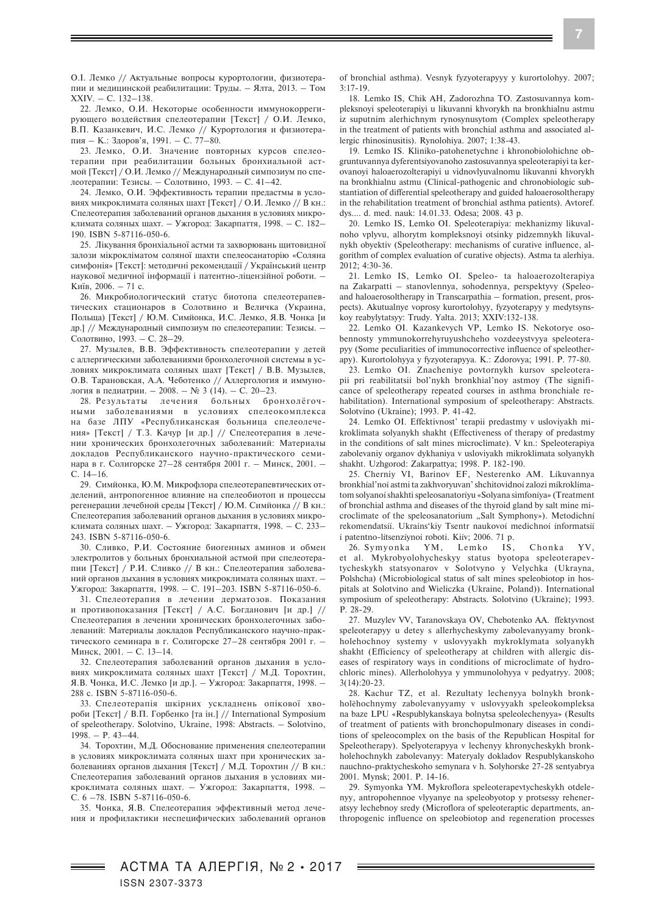О.І. Лемко // Актуальные вопросы курортологии, физиотерапии и медицинской реабилитации: Труды. – Ялта, 2013. – Том XXIV. – С. 132–138.

22. Лемко, О.И. Некоторые особенности иммунокоррегирующего воздействия спелеотерапии [Текст] / О.И. Лемко, В.П. Казанкевич, И.С. Лемко // Курортология и физиотерапия – К.: Здоров'я, 1991. – С. 77–80.

23. Лемко, О.И. Значение повторных курсов спелеотерапии при реабилитации больных бронхиальной астмой [Текст] / О.И. Лемко // Международный симпозиум по спелеотерапии: Тезисы. – Солотвино, 1993. – С. 41–42.

24. Лемко, О.И. Эффективность терапии предастмы в условиях микроклимата соляных шахт [Текст] / О.И. Лемко // В кн.: Спелеотерапия заболеваний органов дыхания в условиях микроклимата соляных шахт. – Ужгород: Закарпаття, 1998. – С. 182– 190. ISBN 5-87116-050-6.

25. Лікування бронхіальної астми та захворювань щитовидної залози мікрокліматом соляної шахти спелеосанаторію «Соляна симфонія» [Текст]: методичні рекомендації / Український центр наукової медичної інформації і патентно-ліцензійної роботи. – Київ, 2006. – 71 с.

26. Микробиологический статус биотопа спелеотерапевтических стационаров в Солотвино и Величка (Украина, Польща) [Текст] / Ю.М. Симйонка, И.С. Лемко, Я.В. Чонка [и др.] // Международный симпозиум по спелеотерапии: Тезисы. – Солотвино, 1993. – С. 28–29.

27. Музылев, В.В. Эффективность спелеотерапии у детей с аллергическими заболеваниями бронхолегочной системы в условиях микроклимата соляных шахт [Текст] / В.В. Музылев, О.В. Тарановская, А.А. Чеботенко // Аллергология и иммунология в педиатрии. – 2008. – № 3 (14). – С. 20–23.

28. Результаты лечения больных бронхолёгочными заболеваниями в условиях спелеокомплекса на базе ЛПУ «Республиканская больница спелеолечения» [Текст] / Т.З. Качур [и др.] // Спелеотерапия в лечении хронических бронхолегочных заболеваний: Материалы докладов Республиканского научно-практического семинара в г. Солигорске 27–28 сентября 2001 г. – Минск, 2001. – С. 14–16.

29. Симйонка, Ю.М. Микрофлора спелеотерапевтических отделений, антропогенное влияние на спелеобиотоп и процессы регенерации лечебной среды [Текст] / Ю.М. Симйонка // В кн.: Спелеотерапия заболеваний органов дыхания в условиях микроклимата соляных шахт. – Ужгород: Закарпаття, 1998. – С. 233– 243. ISBN 5-87116-050-6.

30. Сливко, Р.И. Состояние биогенных аминов и обмен электролитов у больных бронхиальной астмой при спелеотерапии [Текст] / Р.И. Сливко // В кн.: Спелеотерапия заболеваний органов дыхания в условиях микроклимата соляных шахт. – Ужгород: Закарпаття, 1998. – С. 191–203. ISBN 5-87116-050-6.

31. Спелеотерапия в лечении дерматозов. Показания и противопоказания [Текст] / А.С. Богданович [и др.] // Спелеотерапия в лечении хронических бронхолегочных заболеваний: Материалы докладов Республиканского научно-практического семинара в г. Солигорске 27–28 сентября 2001 г. – Минск, 2001. – С. 13–14.

32. Спелеотерапия заболеваний органов дыхания в условиях микроклимата соляных шахт [Текст] / М.Д. Торохтин, Я.В. Чонка, И.С. Лемко [и др.]. – Ужгород: Закарпаття, 1998. – 288 с. ISBN 5-87116-050-6.

33. Спелеотерапія шкірних ускладнень опікової хвороби [Текст] / В.П. Горбенко [та ін.] // International Symposium of speleotherapy. Solotvino, Ukraine, 1998: Abstracts. – Solotvino, 1998. – P. 43–44.

34. Торохтин, М.Д. Обоснование применения спелеотерапии в условиях микроклимата соляных шахт при хронических заболеваниях органов дыхания [Текст] / М.Д. Торохтин // В кн.: Спелеотерапия заболеваний органов дыхания в условиях микроклимата соляных шахт. – Ужгород: Закарпаття, 1998. – С. 6 –78. ISBN 5-87116-050-6.

35. Чонка, Я.В. Спелеотерапия эффективный метод лечения и профилактики неспецифических заболеваний органов of bronchial asthma). Vesnyk fyzyoterapyyy y kurortolohyy. 2007; 3:17-19.

18. Lemko IS, Chik AH, Zadorozhna TO. Zastosuvannya kompleksnoyi speleoterapiyi u likuvanni khvorykh na bronkhialnu astmu iz suputnim alerhichnym rynosynusytom (Complex speleotherapy in the treatment of patients with bronchial asthma and associated allergic rhinosinusitis). Rynolohiya. 2007; 1:38-43.

19. Lemko IS. Kliniko-patohenetychne i khronobiolohichne obgruntuvannya dyferentsiyovanoho zastosuvannya speleoterapiyi ta kerovanoyi haloaerozolterapiyi u vidnovlyuvalnomu likuvanni khvorykh na bronkhialnu astmu (Clinical-pathogenic and chronobiologic substantiation of differential speleotherapy and guided haloaerosoltherapy in the rehabilitation treatment of bronchial asthma patients). Avtoref. dys.... d. med. nauk: 14.01.33. Odesa; 2008. 43 p.

20. Lemko IS, Lemko OI. Speleoterapiya: mekhanizmy likuvalnoho vplyvu, alhorytm kompleksnoyi otsinky pidzemnykh likuvalnykh obyektiv (Speleotherapy: mechanisms of curative influence, algorithm of complex evaluation of curative objects). Astma ta alerhiya. 2012; 4:30-36.

21. Lemko IS, Lemko OI. Speleo- ta haloaerozolterapiya na Zakarpatti – stanovlennya, sohodennya, perspektyvy (Speleoand haloaerosoltherapy in Transcarpathia – formation, present, prospects). Akutualnye voprosy kurortolohyy, fyzyoterapyy y medytsynskoy reabylytatsyy: Trudy. Yalta. 2013; XXIV:132-138.

22. Lemko OI. Kazankevych VP, Lemko IS. Nekotorye osobennosty ymmunokorrehyruyushcheho vozdeeystvyya speleoterapyy (Some peculiarities of immunocorrective influence of speleotherapy). Kurortolohyya y fyzyoterapyya. K.: Zdorovya; 1991. P. 77-80.

23. Lemko OI. Znacheniye povtornykh kursov speleoterapii pri reabilitatsii bol'nykh bronkhial'noy astmoy (The significance of speleotherapy repeated courses in asthma bronchiale rehabilitation). International symposium of speleotherapy: Abstracts. Solotvino (Ukraine); 1993. P. 41-42.

24. Lemko OI. Effektivnost' terapii predastmy v usloviyakh mikroklimata solyanykh shakht (Effectiveness of therapy of predastmy in the conditions of salt mines microclimate). V kn.: Speleoterapiya zabolevaniy organov dykhaniya v usloviyakh mikroklimata solyanykh shakht. Uzhgorod: Zakarpattya; 1998. P. 182-190.

25. Cherniy VI, Barinov EF, Nesterenko AM. Líkuvannya bronkhíal'noí astmi ta zakhvoryuvan' shchitovidnoí zalozi míkroklímatom solyanoí shakhti speleosanatoríyu «Solyana simfoníya» (Treatment of bronchial asthma and diseases of the thyroid gland by salt mine microclimate of the speleosanatorium "Salt Symphony»). Metodichní rekomendatsíí. Ukraíns'kiy Tsentr naukovoí medichnoí ínformatsíí í patentno-lítsenzíynoí roboti. Kiív; 2006. 71 p.

26. Symyonka YM, Lemko IS, Chonka YV, et al. Mykrobyolohycheskyy status byotopa speleoterapevtycheskykh statsyonarov v Solotvyno y Velychka (Ukrayna, Polshcha) (Microbiological status of salt mines speleobiotop in hospitals at Solotvino and Wieliczka (Ukraine, Poland)). International symposium of speleotherapy: Abstracts. Solotvino (Ukraine); 1993. P. 28-29.

27. Muzylev VV, Taranovskaya OV, Chebotenko AA. ffektyvnost speleoterapyy u detey s allerhycheskymy zabolevanyyamy bronkholehochnoy systemy v uslovyyakh mykroklymata solyanykh shakht (Efficiency of speleotherapy at children with allergic diseases of respiratory ways in conditions of microclimate of hydrochloric mines). Allerholohyya y ymmunolohyya v pedyatryy. 2008; 3(14):20-23.

28. Kachur TZ, et al. Rezultaty lechenyya bolnykh bronkholëhochnymy zabolevanyyamy v uslovyyakh speleokompleksa na baze LPU «Respublykanskaya bolnytsa speleolechenyya» (Results of treatment of patients with bronchopulmonary diseases in conditions of speleocomplex on the basis of the Republican Hospital for Speleotherapy). Spelyoterapyya v lechenyy khronycheskykh bronkholehochnykh zabolevanyy: Materyaly dokladov Respublykanskoho nauchno-praktycheskoho semynara v h. Solyhorske 27-28 sentyabrya 2001. Mynsk; 2001. P. 14-16.

29. Symyonka YM. Mykroflora speleoterapevtycheskykh otdelenyy, antropohennoe vlyyanye na speleobyotop y protsessy reheneratsyy lechebnoy sredy (Microflora of speleoteraptic departments, anthropogenic influence on speleobiotop and regeneration processes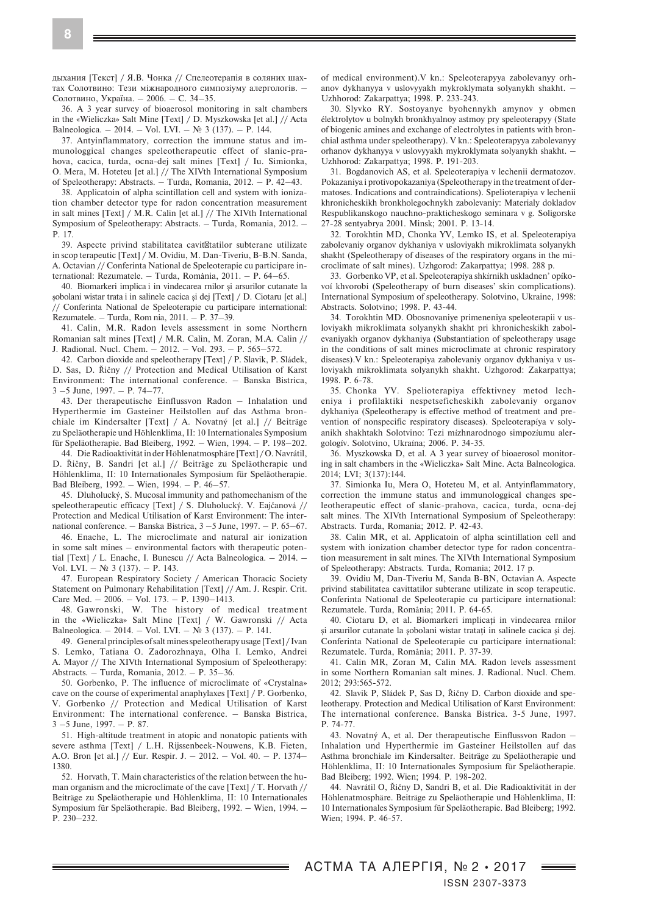дыхания [Текст] / Я.В. Чонка // Спелеотерапія в соляних шахтах Солотвино: Тези міжнародного симпозіуму алергологів. – Солотвино, Україна. – 2006. – С. 34–35.

36. A 3 year survey of bioaerosol monitoring in salt chambers in the «Wieliczka» Salt Mine [Text] / D. Myszkowska [et al.] // Acta Balneologica. – 2014. – Vol. LVI. – № 3 (137). – P. 144.

37. Antyinflammatory, correction the immune status and immunologgical changes speleotherapeutic effect of slanic-prahova, cacica, turda, ocna-dej salt mines [Text] / Iu. Simionka, O. Mera, M. Hoteteu [et al.] // The XIVth International Symposium of Speleotherapy: Abstracts. – Turda, Romania, 2012. – P. 42–43.

38. Applicatoin of alpha scintillation cell and system with ionization chamber detector type for radon concentration measurement in salt mines [Text] / M.R. Calin [et al.] // The XIVth International Symposium of Speleotherapy: Abstracts. – Turda, Romania, 2012. – P. 17.

39. Aspecte privind stabilitatea cavit tatilor subterane utilizate in scop terapeutic [Text] / M. Ovidiu, M. Dan-Tiveriu, B-B.N. Sanda, A. Octavian // Conferinta National de Speleoterapie cu participare international: Rezumatele. – Turda, România, 2011. – P. 64–65.

40. Biomarkeri implica i in vindecarea rnilor şi arsurilor cutanate la şobolani wistar trata i in salinele cacica şi dej [Text] / D. Ciotaru [et al.] // Conferinta National de Speleoterapie cu participare international: Rezumatele. – Turda, Rom nia, 2011. – P. 37–39.

41. Calin, M.R. Radon levels assessment in some Northern Romanian salt mines [Text] / M.R. Calin, M. Zoran, M.A. Calin // J. Radional. Nucl. Chem. – 2012. – Vol. 293. – P. 565–572.

42. Carbon dioxide and speleotherapy [Text] / P. Slavik, P. Sládek, D. Sas, D. Řičny // Protection and Medical Utilisation of Karst Environment: The international conference. – Banska Bistrica, 3 –5 June, 1997. – P. 74–77.

43. Der therapeutische Einflussvon Radon – Inhalation und Hyperthermie im Gasteiner Heilstollen auf das Asthma bronchiale im Kindersalter [Text] / A. Novatný [et al.] // Beiträge zu Speläotherapie und Höhlenklima, II: 10 Internationales Symposium für Speläotherapie. Bad Bleiberg, 1992. – Wien, 1994. – P. 198–202.

44. Die Radioaktivität in der Höhlenatmosphäre [Text] /O. Navrátil, D. Řičny, B. Sandri [et al.] // Beiträge zu Speläotherapie und Höhlenklima, II: 10 Internationales Symposium für Speläotherapie. Bad Bleiberg, 1992. – Wien, 1994. – P. 46–57.

45. Dluholucký, S. Mucosal immunity and pathomechanism of the speleotherapeutic efficacy [Text] / S. Dluholucký. V. Eajčanová // Protection and Medical Utilisation of Karst Environment: The international conference. – Banska Bistrica, 3 –5 June, 1997. – P. 65–67.

46. Enache, L. The microclimate and natural air ionization in some salt mines – environmental factors with therapeutic potential [Text] / L. Enache, I. Bunescu // Acta Balneologica. – 2014. – Vol. LVI. – No. 3 (137). – P. 143.

47. Eurоpean Respiratory Society / Amеrican Thoracic Society Statement on Pulmonary Rehabilitation [Text] // Am. J. Respir. Crit. Care Med. – 2006. – Vol. 173. – P. 1390–1413.

48. Gawronski, W. The history of medical treatment in the «Wieliczka» Salt Mine [Text] / W. Gawronski // Acta Balneologica. – 2014. – Vol. LVI. – № 3 (137). – P. 141.

49. General principles of salt mines speleotherapy usage [Text] / Ivan S. Lemko, Tatiana O. Zadorozhnaya, Olha I. Lemko, Andrei A. Mayor // The XIVth International Symposium of Speleotherapy: Abstracts. – Turda, Romania, 2012. – P. 35–36.

50. Gorbenko, P. The influence of microclimate of «Crystalna» cave on the course of experimental anaphylaxes [Text] / P. Gorbenko, V. Gorbenko // Protection and Medical Utilisation of Karst Environment: The international conference. – Banska Bistrica, 3 –5 June, 1997. – P. 87.

51. High-altitude treatment in atopic and nonatopic patients with severe asthma [Text] / L.H. Rijssenbeek-Nouwens, K.B. Fieten, A.O. Bron [et al.] // Eur. Respir. J. – 2012. – Vol. 40. – P. 1374– 1380.

52. Horvath, T. Main characteristics of the relation between the human organism and the microclimate of the cave [Text] / T. Horvath // Beiträge zu Speläotherapie und Höhlenklima, II: 10 Internationales Symposium für Speläotherapie. Bad Bleiberg, 1992. – Wien, 1994. – P. 230–232.

of medical environment).V kn.: Speleoterapyya zabolevanyy orhanov dykhanyya v uslovyyakh mykroklymata solyanykh shakht. – Uzhhorod: Zakarpattya; 1998. P. 233-243.

30. Slyvko RY. Sostoyanye byohennykh amynov y obmen élektrolytov u bolnykh bronkhyalnoy astmoy pry speleoterapyy (State of biogenic amines and exchange of electrolytes in patients with bronchial asthma under speleotherapy). V kn.: Speleoterapyya zabolevanyy orhanov dykhanyya v uslovyyakh mykroklymata solyanykh shakht. – Uzhhorod: Zakarpattya; 1998. P. 191-203.

31. Bogdanovich AS, et al. Speleoterapiya v lechenii dermatozov. Pokazaniya i protivopokazaniya (Speleotherapy in the treatment of dermatoses. Indications and contraindications). Spelioterapiya v lechenii khronicheskikh bronkholegochnykh zabolevaniy: Materialy dokladov Respublikanskogo nauchno-prakticheskogo seminara v g. Soligorske 27-28 sentyabrya 2001. Minsk; 2001. P. 13-14.

32. Torokhtin MD, Chonka YV, Lemko IS, et al. Speleoterapiya zabolevaniy organov dykhaniya v usloviyakh mikroklimata solyanykh shakht (Speleotherapy of diseases of the respiratory organs in the microclimate of salt mines). Uzhgorod: Zakarpattya; 1998. 288 p.

33. Gorbenko VP, et al. Speleoterapíya shkírnikh uskladnen' opíkovoí khvorobi (Speleotherapy of burn diseases' skin complications). International Symposium of speleotherapy. Solotvino, Ukraine, 1998: Abstracts. Solotvino; 1998. P. 43-44.

34. Torokhtin MD. Obosnovaniye primeneniya speleoterapii v usloviyakh mikroklimata solyanykh shakht pri khronicheskikh zabolevaniyakh organov dykhaniya (Substantiation of speleotherapy usage in the conditions of salt mines microclimate at chronic respiratory diseases).V kn.: Speleoterapiya zabolevaniy organov dykhaniya v usloviyakh mikroklimata solyanykh shakht. Uzhgorod: Zakarpattya; 1998. P. 6-78.

35. Chonka YV. Spelioterapiya effektivney metod lecheniya i profilaktiki nespetseficheskikh zabolevaniy organov dykhaniya (Speleotherapy is effective method of treatment and prevention of nonspecific respiratory diseases). Speleoterapíya v solyanikh shakhtakh Solotvino: Tezi mízhnarodnogo simpozíumu alergologív. Solotvino, Ukraína; 2006. P. 34-35.

36. Myszkowska D, et al. A 3 year survey of bioaerosol monitoring in salt chambers in the «Wieliczka» Salt Mine. Acta Balneologica. 2014; LVI; 3(137):144.

37. Simionka Iu, Mera O, Hoteteu M, et al. Antyinflammatory, correction the immune status and immunologgical changes speleotherapeutic effect of slanic-prahova, cacica, turda, ocna-dej salt mines. The XIVth International Symposium of Speleotherapy: Abstracts. Turda, Romania; 2012. P. 42-43.

38. Calin MR, et al. Applicatoin of alpha scintillation cell and system with ionization chamber detector type for radon concentration measurement in salt mines. The XIVth International Symposium of Speleotherapy: Abstracts. Turda, Romania; 2012. 17 p.

39. Ovidiu M, Dan-Tiveriu M, Sanda B-BN, Octavian A. Aspecte privind stabilitatea cavittatilor subterane utilizate in scop terapeutic. Conferinta National de Speleoterapie cu participare international: Rezumatele. Turda, România; 2011. P. 64-65.

40. Ciotaru D, et al. Biomarkeri implicati in vindecarea rnilor şi arsurilor cutanate la şobolani wistar trataţi in salinele cacica şi dej. Conferinta National de Speleoterapie cu participare international: Rezumatele. Turda, România; 2011. P. 37-39.

41. Calin MR, Zoran M, Calin MA. Radon levels assessment in some Northern Romanian salt mines. J. Radional. Nucl. Chem. 2012; 293:565-572.

42. Slavik P, Sládek P, Sas D, Řičny D. Carbon dioxide and speleotherapy. Protection and Medical Utilisation of Karst Environment: The international conference. Banska Bistrica. 3-5 June, 1997. P. 74-77.

43. Novatný A, et al. Der therapeutische Einflussvon Radon – Inhalation und Hyperthermie im Gasteiner Heilstollen auf das Asthma bronchiale im Kindersalter. Beiträge zu Speläotherapie und Höhlenklima, II: 10 Internationales Symposium für Speläotherapie. Bad Bleiberg; 1992. Wien; 1994. P. 198-202.

44. Navrátil O, Řičny D, Sandri B, et al. Die Radioaktivität in der Höhlenatmosphäre. Beiträge zu Speläotherapie und Höhlenklima, II: 10 Internationales Symposium für Speläotherapie. Bad Bleiberg; 1992. Wien; 1994. P. 46-57.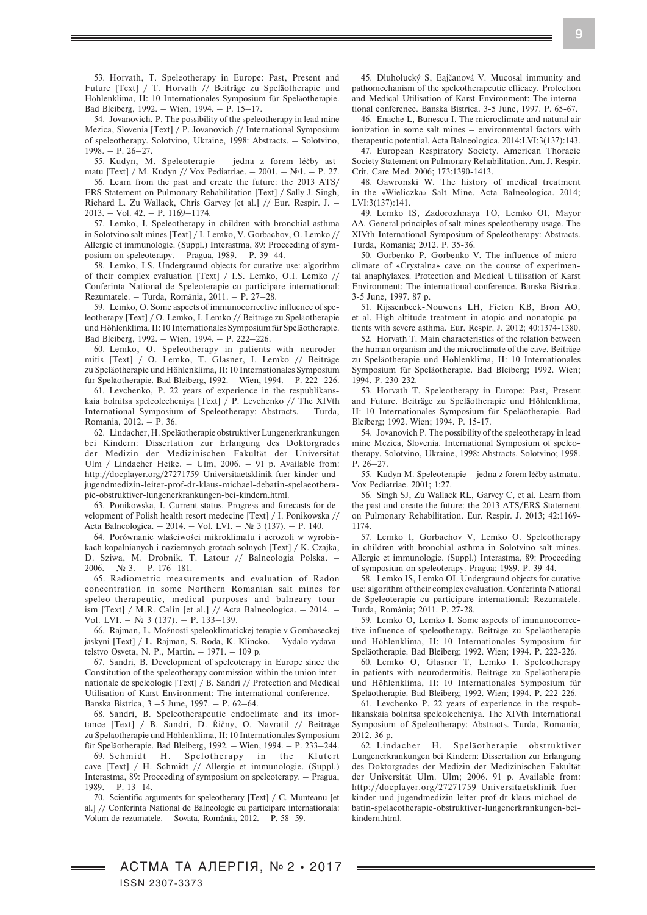53. Horvath, T. Speleotherapy in Europe: Past, Present and Future [Text] / T. Horvath // Beiträge zu Speläotherapie und Höhlenklima, II: 10 Internationales Symposium für Speläotherapie. Bad Bleiberg, 1992. – Wien, 1994. – P. 15–17.

54. Jovanovich, P. The possibility of the speleotherapy in lead mine Mezica, Slovenia [Text] / P. Jovanovich // International Symposium of speleotherapy. Solotvino, Ukraine, 1998: Abstracts. – Solotvino, 1998. – P. 26–27.

55. Kudyn, M. Speleoterapie – jedna z forem léčby astmatu [Text] / M. Kudyn // Vox Pediatriae. – 2001. – №1. – P. 27.

56. Learn from the past and create the future: the 2013 ATS/ ERS Statement on Pulmonary Rehabilitation [Text] / Sally J. Singh, Richard L. Zu Wallack, Chris Garvey [et al.] // Eur. Respir. J. – 2013. – Vol. 42. – P. 1169–1174.

57. Lemko, I. Speleotherapy in children with bronchial asthma in Solotvino salt mines [Text] / I. Lemko, V. Gorbachov, O. Lemko // Allergie et immunologie. (Suppl.) Interastma, 89: Proceeding of symposium on speleoterapy. – Pragua, 1989. – P. 39–44.

58. Lemko, I.S. Undergraund objects for curative use: algorithm of their complex evaluation [Text] / I.S. Lemko, O.I. Lemko // Conferinta National de Speleoterapie cu participare international: Rezumatele. – Turda, România, 2011. – P. 27–28.

59. Lemko, O. Some aspects of immunocorrective influence of speleotherapy [Text] / O. Lemko, I. Lemko // Beiträge zu Speläotherapie und Höhlenklima, II: 10 Internationales Symposium für Speläotherapie. Bad Bleiberg, 1992. – Wien, 1994. – P. 222–226.

60. Lemko, O. Speleotherapy in patients with neurodermitis [Text] / O. Lemko, T. Glasner, I. Lemko // Beiträge zu Speläotherapie und Höhlenklima, II: 10 Internationales Symposium für Speläotherapie. Bad Bleiberg, 1992. – Wien, 1994. – P. 222–226.

61. Levchenko, P. 22 years of experience in the respublikanskaia bolnitsa speleolecheniya [Text] / P. Levchenko // The XIVth International Symposium of Speleotherapy: Abstracts. – Turda, Romania, 2012. – P. 36.

62. Lindacher, H. Speläotherapie obstruktiver Lungenerkrankungen bei Kindern: Dissertation zur Erlangung des Doktorgrades der Medizin der Medizinischen Fakultät der Universität Ulm / Lindacher Heike. – Ulm, 2006. – 91 p. Available from: http://docplayer.org/27271759-Universitaetsklinik-fuer-kinder-undjugendmedizin-leiter-prof-dr-klaus-michael-debatin-spelaeotherapie-obstruktiver-lungenerkrankungen-bei-kindern.html.

63. Ponikowska, I. Current status. Progress and forecasts for development of Polish health resort medecine [Text] / I. Ponikowska // Acta Balneologica. – 2014. – Vol. LVI. – № 3 (137). – P. 140.

64. Porównanie właściwości mikroklimatu i aerozoli w wyrobiskach kopalnianych i naziemnych grotach solnych [Text] / K. Czajka, D. Sziwa, M. Drobnik, T. Latour // Balneologia Polska.  $2006 - N_0$  3. – P. 176–181.

65. Radiometric measurements and evaluation of Radon concentration in some Northern Romanian salt mines for speleo-therapeutic, medical purposes and balneary tourism [Text] / M.R. Calin [et al.] // Acta Balneologica. – 2014. – Vol. LVI. – № 3 (137). – P. 133–139.

66. Rajman, L. Možnosti speleoklimatickej terapie v Gombaseckej jaskyni [Text] / L. Rajman, S. Roda, K. Klincko. – Vydalo vydavatelstvo Osveta, N. P., Martin. – 1971. – 109 p.

67. Sandri, B. Development of speleoterapy in Europe since the Constitution of the speleotherapy commission within the union internationale de speleologie [Text] / B. Sandri // Protection and Medical Utilisation of Karst Environment: The international conference. – Banska Bistrica, 3 –5 June, 1997. – P. 62–64.

68. Sandri, B. Speleotherapeutic endoclimate and its imortance [Text] / B. Sandri, D. Řičny, O. Navratil // Beiträge zu Speläotherapie und Höhlenklima, II: 10 Internationales Symposium für Speläotherapie. Bad Bleiberg, 1992. – Wien, 1994. – P. 233–244.

69. Schmidt H. Spelotherapy in the Klutert cave [Text] / H. Schmidt // Allergie et immunologie. (Suppl.) Interastma, 89: Proceeding of symposium on speleoterapy. – Pragua, 1989. – P. 13–14.

70. Scientific arguments for speleotherary [Text] / C. Munteanu [et al.] // Conferinta National de Balneologie cu participare internationala: Volum de rezumatele. – Sovata, România, 2012. – P. 58–59.

45. Dluholucký S, Eajčanová V. Mucosal immunity and pathomechanism of the speleotherapeutic efficacy. Protection and Medical Utilisation of Karst Environment: The international conference. Banska Bistrica. 3-5 June, 1997. P. 65-67.

46. Enache L, Bunescu I. The microclimate and natural air ionization in some salt mines – environmental factors with therapeutic potential. Acta Balneologica. 2014:LVI:3(137):143.

47. Eurоpean Respiratory Society. Amеrican Thoracic Society Statement on Pulmonary Rehabilitation. Am. J. Respir. Crit. Care Med. 2006; 173:1390-1413.

48. Gawronski W. The history of medical treatment in the «Wieliczka» Salt Mine. Acta Balneologica. 2014; LVI:3(137):141.

49. Lemko IS, Zadorozhnaya TO, Lemko OI, Mayor AA. General principles of salt mines speleotherapy usage. The XIVth International Symposium of Speleotherapy: Abstracts. Turda, Romania; 2012. P. 35-36.

50. Gorbenko P, Gorbenko V. The influence of microclimate of «Crystalna» cave on the course of experimental anaphylaxes. Protection and Medical Utilisation of Karst Environment: The international conference. Banska Bistrica. 3-5 June, 1997. 87 p.

51. Rijssenbeek-Nouwens LH, Fieten KB, Bron AO, et al. High-altitude treatment in atopic and nonatopic patients with severe asthma. Eur. Respir. J. 2012; 40:1374-1380.

52. Horvath T. Main characteristics of the relation between the human organism and the microclimate of the cave. Beiträge zu Speläotherapie und Höhlenklima, II: 10 Internationales Symposium für Speläotherapie. Bad Bleiberg; 1992. Wien; 1994. P. 230-232.

53. Horvath T. Speleotherapy in Europe: Past, Present and Future. Beiträge zu Speläotherapie und Höhlenklima, II: 10 Internationales Symposium für Speläotherapie. Bad Bleiberg; 1992. Wien; 1994. P. 15-17.

54. Jovanovich P. The possibility of the speleotherapy in lead mine Mezica, Slovenia. International Symposium of speleotherapy. Solotvino, Ukraine, 1998: Abstracts. Solotvino; 1998. P. 26–27.

55. Kudyn M. Speleoterapie – jedna z forem léčby astmatu. Vox Pediatriae. 2001; 1:27.

56. Singh SJ, Zu Wallack RL, Garvey C, et al. Learn from the past and create the future: the 2013 ATS/ERS Statement on Pulmonary Rehabilitation. Eur. Respir. J. 2013; 42:1169- 1174.

57. Lemko I, Gorbachov V, Lemko O. Speleotherapy in children with bronchial asthma in Solotvino salt mines. Allergie et immunologie. (Suppl.) Interastma, 89: Proceeding of symposium on speleoterapy. Pragua; 1989. P. 39-44.

58. Lemko IS, Lemko OI. Undergraund objects for curative use: algorithm of their complex evaluation. Conferinta National de Speleoterapie cu participare international: Rezumatele. Turda, România; 2011. P. 27-28.

59. Lemko O, Lemko I. Some aspects of immunocorrective influence of speleotherapy. Beiträge zu Speläotherapie und Höhlenklima, II: 10 Internationales Symposium für Speläotherapie. Bad Bleiberg; 1992. Wien; 1994. P. 222-226.

60. Lemko O, Glasner T, Lemko I. Speleotherapy in patients with neurodermitis. Beiträge zu Speläotherapie und Höhlenklima, II: 10 Internationales Symposium für Speläotherapie. Bad Bleiberg; 1992. Wien; 1994. P. 222-226.

61. Levchenko P. 22 years of experience in the respublikanskaia bolnitsa speleolecheniya. The XIVth International Symposium of Speleotherapy: Abstracts. Turda, Romania; 2012. 36 p.

62. Lindacher H. Speläotherapie obstruktiver Lungenerkrankungen bei Kindern: Dissertation zur Erlangung des Doktorgrades der Medizin der Medizinischen Fakultät der Universität Ulm. Ulm; 2006. 91 p. Available from: http://docplayer.org/27271759-Universitaetsklinik-fuerkinder-und-jugendmedizin-leiter-prof-dr-klaus-michael-debatin-spelaeotherapie-obstruktiver-lungenerkrankungen-beikindern.html.